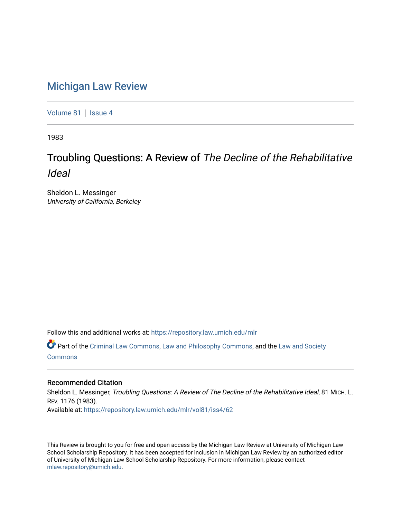## [Michigan Law Review](https://repository.law.umich.edu/mlr)

[Volume 81](https://repository.law.umich.edu/mlr/vol81) | [Issue 4](https://repository.law.umich.edu/mlr/vol81/iss4)

1983

# Troubling Questions: A Review of The Decline of the Rehabilitative Ideal

Sheldon L. Messinger University of California, Berkeley

Follow this and additional works at: [https://repository.law.umich.edu/mlr](https://repository.law.umich.edu/mlr?utm_source=repository.law.umich.edu%2Fmlr%2Fvol81%2Fiss4%2F62&utm_medium=PDF&utm_campaign=PDFCoverPages) 

Part of the [Criminal Law Commons,](http://network.bepress.com/hgg/discipline/912?utm_source=repository.law.umich.edu%2Fmlr%2Fvol81%2Fiss4%2F62&utm_medium=PDF&utm_campaign=PDFCoverPages) [Law and Philosophy Commons,](http://network.bepress.com/hgg/discipline/1299?utm_source=repository.law.umich.edu%2Fmlr%2Fvol81%2Fiss4%2F62&utm_medium=PDF&utm_campaign=PDFCoverPages) and the [Law and Society](http://network.bepress.com/hgg/discipline/853?utm_source=repository.law.umich.edu%2Fmlr%2Fvol81%2Fiss4%2F62&utm_medium=PDF&utm_campaign=PDFCoverPages)  [Commons](http://network.bepress.com/hgg/discipline/853?utm_source=repository.law.umich.edu%2Fmlr%2Fvol81%2Fiss4%2F62&utm_medium=PDF&utm_campaign=PDFCoverPages)

### Recommended Citation

Sheldon L. Messinger, Troubling Questions: A Review of The Decline of the Rehabilitative Ideal, 81 MICH. L. REV. 1176 (1983). Available at: [https://repository.law.umich.edu/mlr/vol81/iss4/62](https://repository.law.umich.edu/mlr/vol81/iss4/62?utm_source=repository.law.umich.edu%2Fmlr%2Fvol81%2Fiss4%2F62&utm_medium=PDF&utm_campaign=PDFCoverPages) 

This Review is brought to you for free and open access by the Michigan Law Review at University of Michigan Law School Scholarship Repository. It has been accepted for inclusion in Michigan Law Review by an authorized editor of University of Michigan Law School Scholarship Repository. For more information, please contact [mlaw.repository@umich.edu.](mailto:mlaw.repository@umich.edu)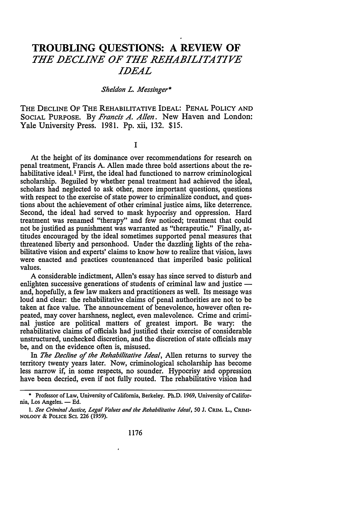## **TROUBLING QUESTIONS: A REVIEW OF**  THE DECLINE OF THE REHABILITATIVE *I.DEAL*

#### *Sheldon L. Messinger\**

THE DECLINE OF THE REHABILITATIVE IDEAL: PENAL POLICY AND SOCIAL PURPOSE. By *Francis A. Allen.* New Haven and London: Yale University Press. 1981. Pp. xii, 132. \$15.

I

At the height of its dominance over recommendations for research on penal treatment, Francis A. Allen made three bold assertions about the rehabilitative ideal.<sup>1</sup> First, the ideal had functioned to narrow criminological scholarship. Beguiled by whether penal treatment had achieved the ideal, scholars had neglected to ask other, more important questions, questions with respect to the exercise of state power to criminalize conduct, and questions about the achievement of other criminal justice aims, like deterrence. Second, the ideal had served to mask hypocrisy and oppression. Hard treatment was renamed "therapy" and few noticed; treatment that could not be justified as punishment was warranted as "therapeutic." Finally, attitudes encouraged by the ideal sometimes supported penal measures that threatened liberty and personhood. Under the dazzling lights of the rehabilitative vision and experts' claims to know how to realize that vision, laws were enacted and practices countenanced that imperiled basic political values.

A considerable indictment, Allen's essay has since served to disturb and enlighten successive generations of students of criminal law and justice and, hopefully, a few law makers and practitioners as well. Its message was loud and clear: the rehabilitative claims of penal authorities are not to be taken at face value. The announcement of benevolence, however often repeated, may cover harshness, neglect, even malevolence. Crime and criminal justice are political matters of greatest import. Be wary: the rehabilitative claims of officials had justified their exercise of considerable unstructured, unchecked discretion, and the discretion of state officials may be, and on the evidence often is, misused.

In *The Decline of the Rehabilitative Ideal*, Allen returns to survey the territory twenty years later. Now, criminological scholarship has become less narrow if, in some respects, no sounder. Hypocrisy and oppression have been decried, even if not fully routed. The rehabilitative vision had

<sup>•</sup> Professor of Law, University of California, Berkeley. Ph.D. 1969, University of California, Los Angeles. - Ed.

l. *See Criminal Justice, Legal Values and the Rehabilitative Ideal,* SO J. CRIM, L., CRIMI· NOLOGY & POLICE SCI. 226 (1959).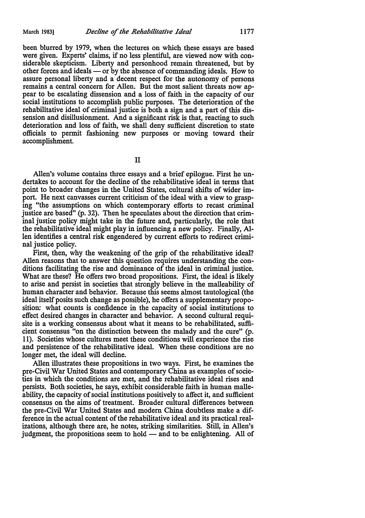been blurred by 1979, when the lectures on which these essays are based were given. Experts' claims, if no less plentiful, are viewed now with considerable skepticism. Liberty and personhood remain threatened, but by other forces and ideals - or by the absence of commanding ideals. How to assure personal liberty and a decent respect for the autonomy of persons remains a central concern for Allen. But the most salient threats now appear to be escalating dissension and a loss of faith in the capacity of our social institutions to accomplish public purposes. The deterioration of the rehabilitative ideal of criminal justice is both a sign and a part of this dissension and disillusionment. And a significant risk is that, reacting to such deterioration and loss of faith, we shall deny sufficient discretion to state officials to permit fashioning new purposes or moving toward their accomplishment.

II

Allen's volume contains three essays and a brief epilogue. First he undertakes to account for the decline of the rehabilitative ideal in terms that point to broader changes in the United States, cultural shifts of wider import. He next canvasses current criticism of the ideal with a view to grasping "the assumptions on which contemporary efforts to recast criminal justice are based" (p. 32). Then he speculates about the direction that criminal justice policy might take in the future and, particularly, the role that the rehabilitative ideal might play in influencing a new policy. Finally, Allen identifies a central risk engendered by current efforts to redirect criminal justice policy.

First, then, why the weakening of the grip of the rehabilitative ideal? Allen reasons that to answer this question requires understanding the conditions facilitating the rise and dominance of the ideal in criminal justice. What are these? He offers two broad propositions. First, the ideal is likely to arise and persist in societies that strongly believe in the malleability of human character and behavior. Because this seems almost tautological (the ideal itself posits such change as possible), he offers a supplementary proposition: what counts is confidence in the capacity of social institutions to effect desired changes in character and behavior. A second cultural requisite is a working consensus about what it means to be rehabilitated, sufficient consensus "on the distinction between the malady and the cure" (p. 11). Societies whose cultures meet these conditions will experience the rise and persistence of the rehabilitative ideal. When these conditions are no longer met, the ideal will decline.

Allen illustrates these propositions in two ways. First, he examines the pre-Civil War United States and contemporary China as examples of societies in which the conditions are met, and the rehabilitative ideal rises and persists. Both societies, he says, exhibit considerable faith in human malleability, the capacity of social institutions positively to affect it, and sufficient consensus on the aims of treatment. Broader cultural differences between the pre-Civil War United States and modem China doubtless make a difference in the actual content of the rehabilitative ideal and its practical realizations, although there are, he notes, striking similarities. Still, in Allen's judgment, the propositions seem to hold — and to be enlightening. All of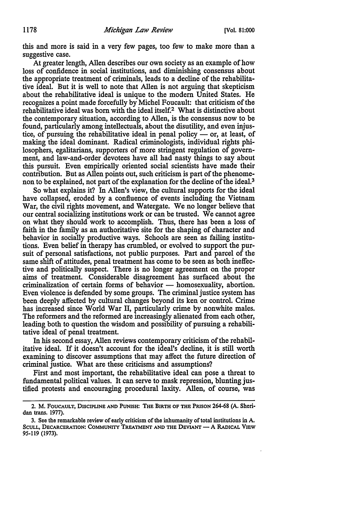this and more is said in a very few pages, too few to make more than a suggestive case.

At greater length, Allen describes our own society as an example of how loss of confidence in social institutions, and diminishing consensus about the appropriate treatment of criminals, leads to a decline of the rehabilitative ideal. But it is well to note that Allen is not arguing that skepticism about the rehabilitative ideal is unique to the modem United States. He recognizes a point made forcefully by Michel Foucault: that criticism of the rehabilitative ideal was born with the ideal itself.<sup>2</sup>What is distinctive about the contemporary situation, according to Allen, is the consensus now to be found, particularly among intellectuals, about the disutility, and even injustice, of pursuing the rehabilitative ideal in penal policy  $-$  or, at least, of making the ideal dominant. Radical criminologists, individual rights philosophers, egalitarians, supporters of more stringent regulation of government, and law-and-order devotees have all had nasty things to say about this pursuit. Even empirically oriented social scientists have made their contribution. But as Allen points out, such criticism is part of the phenomenon to be explained, not part of the explanation for the decline of the ideal.<sup>3</sup>

So what explains it? In Allen's view, the cultural supports for the ideal have collapsed, eroded by a confluence of events including the Vietnam War, the civil rights movement, and Watergate. We no longer believe that our central socializing institutions work or can be trusted. We cannot agree on what they should work to accomplish. Thus, there has been a loss of faith in the family as an authoritative site for the shaping of character and behavior in socially productive ways. Schools are seen as failing institutions. Even belief in therapy has crumbled, or evolved to support the pursuit of personal satisfactions, not public purposes. Part and parcel of the same shift of attitudes, penal treatment has come to be seen as both ineffective and politically suspect. There is no longer agreement on the proper aims of treatment. Considerable disagreement has surfaced about the  $c$ riminalization of certain forms of behavior  $-$  homosexuality, abortion. Even violence is defended by some groups. The criminal justice system has been deeply affected by cultural changes beyond its ken or control. Crime has increased since World War II, particularly crime by nonwhite males. The reformers and the reformed are increasingly alienated from each other, leading both to question the wisdom and possibility of pursuing a rehabilitative ideal of penal treatment.

In his second essay, Allen reviews contemporary criticism of the rehabilitative ideal. If it doesn't account for the ideal's decline, it is still worth examining to discover assumptions that may affect the future direction of criminal justice. What are these criticisms and assumptions?

First and most important, the rehabilitative ideal can pose a threat to fundamental political values. It can serve to mask repression, blunting justified protests and encouraging procedural laxity. Allen, of course, was

<sup>2.</sup> M. FOUCAULT, DISCIPLINE AND PUNISH: THE BIRTH OF THE PRISON 264-68 (A. Sheridan trans. 1977).

<sup>3.</sup> See the remarkable review of early criticism of the inhumanity of total institutions in A. SCULL, DECARCERATION: COMMUNITY TREATMENT AND THE DEVIANT  $- A$  RADICAL VIEW 95-119 (1973).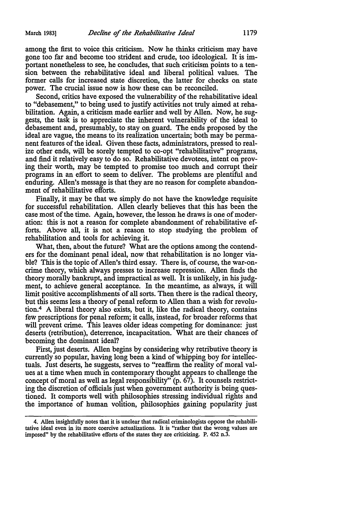among the first to voice this criticism. Now he thinks criticism may have gone too far and become too strident and crude, too ideological. It is important nonetheless to see, he concludes, that such criticism points to a tension between the rehabilitative ideal and liberal political values. The former calls for increased state discretion, the latter for checks on state power. The crucial issue now is how these can be reconciled.

Second, critics have exposed the vulnerability of the rehabilitative ideal to "debasement," to being used to justify activities not truly aimed at rehabilitation. Again, a criticism made earlier and well by Allen. Now, he suggests, the task is to appreciate the inherent vulnerability of the ideal to debasement and, presumably, to stay on guard. The ends proposed by the ideal are vague, the means to its realization uncertain; both may be permanent features of the ideal. Given these facts, administrators, pressed to realize other ends, will be sorely tempted to co-opt "rehabilitative" programs, and find it relatively easy to do so. Rehabilitative devotees, intent on proving their worth, may be tempted to promise too much and corrupt their programs in an effort to seem to deliver. The problems are plentiful and enduring. Allen's message is that they are no reason for complete abandonment of rehabilitative efforts.

Finally, it may be that we simply do not have the knowledge requisite for successful rehabilitation. Allen clearly believes that this has been the case most of the time. Again, however, the lesson he draws is one of moderation: this is not a reason for complete abandonment of rehabilitative efforts. Above all, it is not a reason to stop studying the problem of rehabilitation and tools for achieving it.

What, then, about the future? What are the options among the contenders for the dominant penal ideal, now that rehabilitation is no longer viable? This is the topic of Allen's third essay. There is, of course, the war-oncrime theory, which always presses to increase repression. Allen finds the theory morally bankrupt, and impractical as well. It is unlikely, in his judgment, to achieve general acceptance. In the meantime, as always, it will limit positive accomplishments of all sorts. Then there is the radical theory, but this seems less a theory of penal reform to Allen than a wish for revolution.4 A liberal theory also exists, but it, like the radical theory, contains few prescriptions for penal reform; it calls, instead, for broader reforms that will prevent crime. This leaves older ideas competing for dominance: just deserts (retribution), deterrence, incapacitation. What are their chances of becoming the dominant ideal?

First, just deserts. Allen begins by considering why retributive theory is currently so popular, having long been a kind of whipping boy for intellectuals. Just deserts, he suggests, serves to "reaffirm the reality of moral values at a time when much in contemporary thought appears to challenge the concept of moral as well as legal responsibility" (p. 67). It counsels restricting the discretion of officials just when government authority is being questioned. It comports well with philosophies stressing individual rights and the importance of human volition, philosophies gaining popularity just

<sup>4.</sup> Allen insightfully notes that it is unclear that radical criminologists oppose the rehabilitative ideal even in its more coercive actualizations. It is "rather that the wrong values are imposed" by the rehabilitative efforts of the states they are criticizing. P. 452 n.3.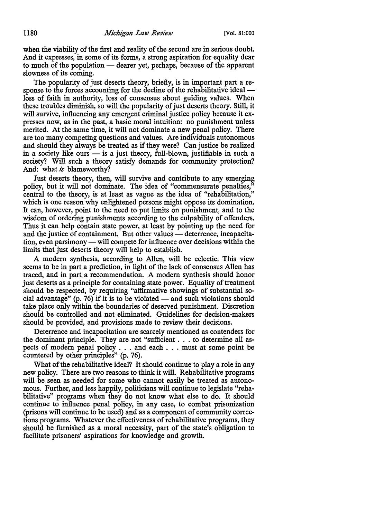when the viability of the first and reality of the second are in serious doubt. And it expresses, in some of its forms, a strong aspiration for equality dear to much of the population — dearer yet, perhaps, because of the apparent slowness of its coming.

The popularity of just deserts theory, briefly, is in important part a response to the forces accounting for the decline of the rehabilitative ideal – loss of faith in authority, loss of consensus about guiding values. When these troubles diminish, so will the popularity of just deserts theory. Still, it will survive, influencing any emergent criminal justice policy because it expresses now, as in the past, a basic moral intuition: no punishment unless merited. At the same time, it will not dominate a new penal policy. There are too many competing questions and values. Are individuals autonomous and should they always be treated as if they were? Can justice be realized in a society like ours  $-$  is a just theory, full-blown, justifiable in such a society? Will such a theory satisfy demands for community protection? And: what *is* blameworthy?

Just deserts theory, then, will survive and contribute to any emerging policy, but it will not dominate. The idea of "commensurate penalties," central to the theory, is at least as vague as the idea of "rehabilitation," which is one reason why enlightened persons might oppose its domination. It can, however, point to the need to put limits on punishment, and to the wisdom of ordering punishments according to the culpability of offenders. Thus it can help contain state power, at least by pointing up the need for and the justice of containment. But other values — deterrence, incapacitation, even parsimony-will compete for influence over decisions within the limits that just deserts theory will help to establish.

A modem synthesis, according to Allen, will be eclectic. This view seems to be in part a prediction, in light of the lack of consensus Allen has traced, and in part a recommendation. A modem synthesis should honor just deserts as a principle for containing state power. Equality of treatment should be respected, by requiring "affirmative showings of substantial social advantage"  $(p, 76)$  if it is to be violated  $-$  and such violations should take place only within the boundaries of deserved punishment. Discretion should be controlled and not eliminated. Guidelines for decision-makers should be provided, and provisions made to review their decisions.

Deterrence and incapacitation are scarcely mentioned as contenders for the dominant principle. They are not "sufficient . . . to determine all aspects of modem penal policy . . . and each . . . must at some point be countered by other principles" (p. 76).

What of the rehabilitative ideal? It should continue to play a role in any new policy. There are two reasons to think it will. Rehabilitative programs will be seen as needed for some who cannot easily be treated as autonomous. Further, and less happily, politicians will continue to legislate "rehabilitative" programs when they do not know what else to do. It should continue to influence penal policy, in any case, to combat prisonization (prisons will continue to be used) and as a component of community corrections programs. Whatever the effectiveness of rehabilitative programs, they should be furnished as a moral necessity, part of the state's obligation to facilitate prisoners' aspirations for knowledge and growth.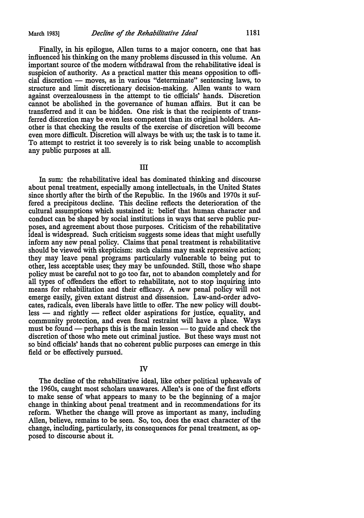Finally, in his epilogue, Allen turns to a major concern, one that has influenced his thinking on the many problems discussed in this volume. An important source of the modem withdrawal from the rehabilitative ideal is suspicion of authority. As a practical matter this means opposition to official discretion - moves, as in various "determinate" sentencing laws, to structure and limit discretionary decision-making. Allen wants to warn against overzealousness in the attempt to tie officials' hands. Discretion cannot be abolished in the governance of human affairs. But it can be transferred and it can be hidden. One risk is that the recipients of transferred discretion may be even less competent than its original holders. Another is that checking the results of the exercise of discretion will become even more difficult. Discretion will always be with us; the task is to tame it. To attempt to restrict it too severely is to risk being unable to accomplish any public purposes at all.

III

In sum: the rehabilitative ideal has dominated thinking and discourse about penal treatment, especially among intellectuals, in the United States since shortly after the birth of the Republic. In the 1960s and 1970s it suffered a precipitous decline. This decline reflects the deterioration of the cultural assumptions which sustained it: belief that human character and conduct can be shaped by social institutions in ways that serve public purposes, and agreement about those purposes. Criticism of the rehabilitative ideal is widespread. Such criticism suggests some ideas that might usefully inform any new penal policy. Claims that penal treatment is rehabilitative should be viewed with skepticism: such claims may mask repressive action; they may leave penal programs particularly vulnerable to being put to other, less acceptable uses; they may be unfounded. Still, those who shape policy must be careful not to go too far, not to abandon completely and for all types of offenders the effort to rehabilitate, not to stop inquiring into means for rehabilitation and their efficacy. A new penal policy will not emerge easily, given extant distrust and dissension. Law-and-order advocates, radicals, even liberals have little to offer. The new policy will doubt $less -$  and rightly  $-$  reflect older aspirations for justice, equality, and community protection, and even fiscal restraint will have a place. Ways must be found  $-$  perhaps this is the main lesson  $-$  to guide and check the discretion of those who mete out criminal justice. But these ways must not so bind officials' hands that no coherent public purposes can emerge in this field or be effectively pursued.

### IV

The decline of the rehabilitative ideal, like other political upheavals of the 1960s, caught most scholars unawares. Allen's is one of the first efforts to make sense of what appears to many to be the beginning of a major change in thinking about penal treatment and in recommendations for its reform. Whether the change will prove as important as many, including Allen, believe, remains to be seen. So, too, does the exact character of the change, including, particularly, its consequences for penal treatment, as opposed to discourse about it.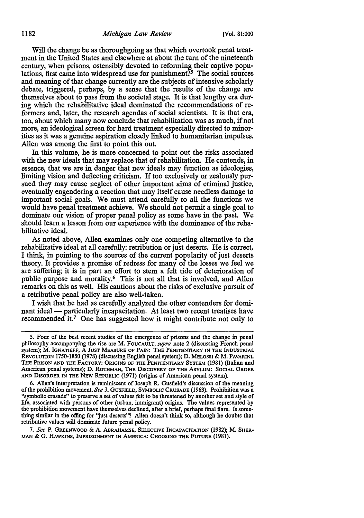Will the change be as thoroughgoing as that which overtook penal treatment in the United States and elsewhere at about the tum of the nineteenth century, when prisons, ostensibly devoted to reforming their captive populations, first came into widespread use for punishment?<sup>5</sup> The social sources and meaning of that change currently are the subjects of intensive scholarly debate, triggered, perhaps, by a sense that the results of the change are themselves about to pass from the societal stage. It is that lengthy era during which the rehabilitative ideal dominated the recommendations of reformers and, later, the research agendas of social scientists. It is that era, too, about which many now conclude that rehabilitation was as much, if not more, an ideological screen for hard treatment especially directed to minorities as it was a genuine aspiration closely linked to humanitarian impulses. Allen was among the first to point this out.

In this volume, he is more concerned to point out the risks associated with the new ideals that may replace that of rehabilitation. He contends, in essence, that we are in danger that new ideals may function as ideologies, limiting vision and deflecting criticism. If too exclusively or zealously pursued they may cause neglect of other important aims of criminal justice, eventually engendering a reaction that may itself cause needless damage to important social goals. We must attend carefully to all the functions we would have penal treatment achieve. We should not permit a single goal to dominate our vision of proper penal policy as some have in the past. We should learn a lesson from our experience with the dominance of the rehabilitative ideal.

As noted above, Allen examines only one competing alternative to the rehabilitative ideal at all carefully: retribution or just deserts. He is correct, I think, in pointing to the sources of the current popularity of just deserts theory. It provides a promise of redress for many of the losses we feel we are suffering; it is in part an effort to stem a felt tide of deterioration of public purpose and morality.<sup>6</sup> This is not all that is involved, and Allen remarks on this as well. His cautions about the risks of exclusive pursuit of a retributive penal policy are also well-taken.

I wish that he had as carefully analyzed the other contenders for dominant ideal — particularly incapacitation. At least two recent treatises have recommended it.<sup>7</sup> One has suggested how it might contribute not only to

*1. See* P. GREENWOOD & A. ABRAHAMSE, SELECTIVE INCAPACITATION (1982); M. SHER• MAN & G. HAWKINS, IMPRISONMENT IN AMERICA: CHOOSING THE FUTURE (1981).

*<sup>5.</sup>* Four of the best recent studies of the emergence of prisons and the change in penal philosophy accompanying the rise are **M.** FOUCAULT, *supra* note 2 (discussing French penal system); M. IGNATIEFF, A JUST MEASURE OF PAIN: THE PENITENTIARY IN THE INDUSTRIAL REVOLUTION 1750-1850 (1978) (discussing English penal system); D. MELOSSI & **M.** PAVARINI, THE PRISON AND THE FACTORY: ORIGINS OF THE PENITENTIARY SYSTEM (1981) (Italian and American penal systems); D. ROTHMAN, THE DISCOVERY OF THE ASYLUM: SOCIAL ORDER AND DISORDER IN THE NEW REPUBLIC (1971) (origins of American penal system).

<sup>6.</sup> Allen's interpretation is reminiscent of Joseph R. Gusfield's discussion of the meaning of the prohibition movement. *See* J. GUSFIELD, SYMBOLIC CRUSADE (1963). Prohibition was a "symbolic crusade" to preserve a set of values felt to be threatened by another set and style of life, associated with persons of other (urban, immigrant) origins. The values represented by the prohibition movement have themselves declined, after a brief, perhaps final flare. Is something similar in the offing for "just deserts"? Allen doesn't think so, although he doubts that retributive values will dominate future penal policy.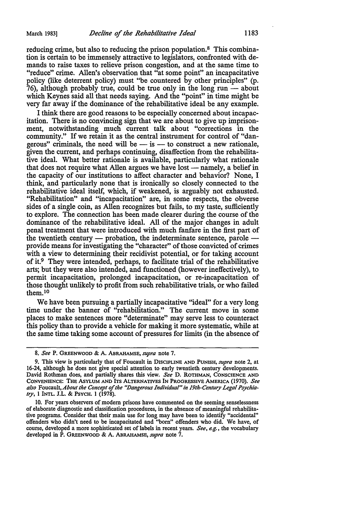reducing crime, but also to reducing the prison population.<sup>8</sup> This combination is certain to be immensely attractive to legislators, confronted with demands to raise taxes to relieve prison congestion, and at the same time to "reduce" crime. Allen's observation that "at some point" an incapacitative policy (like deterrent policy) must "be countered by other principles" (p. 76), although probably true, could be true only in the long  $run - about$ which Keynes said all that needs saying. And the "point" in time might be very far away if the dominance of the rehabilitative ideal be any example.

I think there are good reasons to be especially concerned about incapacitation. There is no convincing sign that we are about to give up imprisonment, notwithstanding much current talk about "corrections in the community." If we retain it as the central instrument for control of "dangerous" criminals, the need will be  $-$  is  $-$  to construct a new rationale, given the current, and perhaps continuing, disaffection from the rehabilitative ideal. What better rationale is available, particularly what rationale that does not require what Allen argues we have lost — namely, a belief in the capacity of our institutions to affect character and behavior? None, I think, and particularly none that is ironically so closely connected to the rehabilitative ideal itself, which, if weakened, is arguably not exhausted. "Rehabilitation" and "incapacitation" are, in some respects, the obverse sides of a single coin, as Allen recognizes but fails, to my taste, sufficiently to explore. The connection has been made clearer during the course of the dominance of the rehabilitative ideal. All of the major changes in adult penal treatment that were introduced with much fanfare in the first part of the twentieth century  $-$  probation, the indeterminate sentence, parole  $$ provide means for investigating the "character" of those convicted of crimes with a view to determining their recidivist potential, or for taking account of it.9 They were intended, perhaps, to facilitate trial of the rehabilitative arts; but they were also intended, and functioned (however ineffectively), to permit incapacitation, prolonged incapacitation, or re-incapacitation of those thought unlikely to profit from such rehabilitative trials, or who failed them. <sup>10</sup>

We have been pursuing a partially incapacitative "ideal" for a very long time under the banner of "rehabilitation." The current move in some places to make sentences more "determinate" may serve less to counteract this policy than to provide a vehicle for making it more systematic, while at the same time taking some account of pressures for limits (in the absence of

<sup>8.</sup> *See* P. GREENWOOD & A. ABRAHAMSE, *supra* note 7.

<sup>9.</sup> This view is particularly that of Foucault in DISCIPLINE AND PUNISH, *supra* note 2, at 16-24, although he does not give special attention to early twentieth century developments. David Rothman does, and partially shares this view. *See* D. ROTHMAN, CONSCIENCE AND CONVENIENCE: THE ASYLUM AND ITS ALTERNATIVES IN PROGRESSIVE AMERICA (1970). *See also Foucault,About the Concept of the "Dangerous Individual" in 19th-Century Legal Psychiatry,* 1 INTL. J.L. & PSYCH. 1 (1978).

<sup>10.</sup> For years observers of modem prisons have commented on the seeming senselessness of elaborate diagnostic and classification procedures, in the absence of meaningful rehabilitative programs. Consider that their main use for long may have been to identify "accidental" offenders who didn't need to be incapacitated and ''born" offenders who did. We have, of course, developed a more sophisticated set oflabels in recent years. *See, e.g.,* the vocabulary developed in P. GREENWOOD & A. ABRAHAMSE, *supra* note 7.